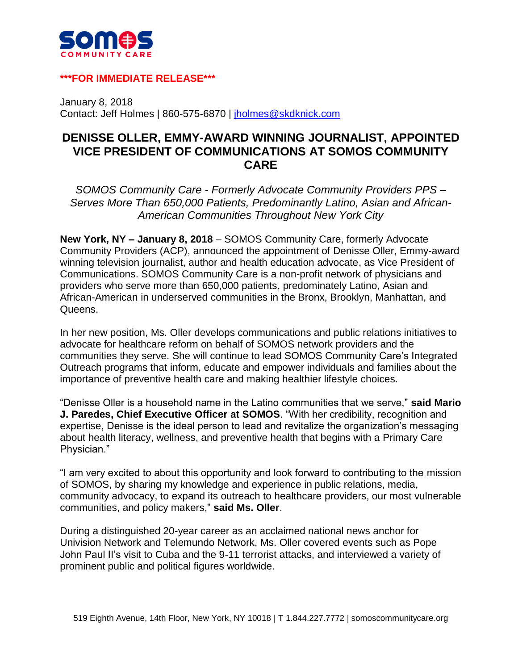

## **\*\*\*FOR IMMEDIATE RELEASE\*\*\***

January 8, 2018 Contact: Jeff Holmes | 860-575-6870 | [jholmes@skdknick.com](mailto:jholmes@skdknick.com)

## **DENISSE OLLER, EMMY-AWARD WINNING JOURNALIST, APPOINTED VICE PRESIDENT OF COMMUNICATIONS AT SOMOS COMMUNITY CARE**

*SOMOS Community Care - Formerly Advocate Community Providers PPS – Serves More Than 650,000 Patients, Predominantly Latino, Asian and African-American Communities Throughout New York City*

**New York, NY – January 8, 2018** – SOMOS Community Care, formerly Advocate Community Providers (ACP), announced the appointment of Denisse Oller, Emmy-award winning television journalist, author and health education advocate, as Vice President of Communications. SOMOS Community Care is a non-profit network of physicians and providers who serve more than 650,000 patients, predominately Latino, Asian and African-American in underserved communities in the Bronx, Brooklyn, Manhattan, and Queens.

In her new position, Ms. Oller develops communications and public relations initiatives to advocate for healthcare reform on behalf of SOMOS network providers and the communities they serve. She will continue to lead SOMOS Community Care's Integrated Outreach programs that inform, educate and empower individuals and families about the importance of preventive health care and making healthier lifestyle choices.

"Denisse Oller is a household name in the Latino communities that we serve," **said Mario J. Paredes, Chief Executive Officer at SOMOS**. "With her credibility, recognition and expertise, Denisse is the ideal person to lead and revitalize the organization's messaging about health literacy, wellness, and preventive health that begins with a Primary Care Physician."

"I am very excited to about this opportunity and look forward to contributing to the mission of SOMOS, by sharing my knowledge and experience in public relations, media, community advocacy, to expand its outreach to healthcare providers, our most vulnerable communities, and policy makers," **said Ms. Oller**.

During a distinguished 20-year career as an acclaimed national news anchor for Univision Network and Telemundo Network, Ms. Oller covered events such as Pope John Paul II's visit to Cuba and the 9-11 terrorist attacks, and interviewed a variety of prominent public and political figures worldwide.